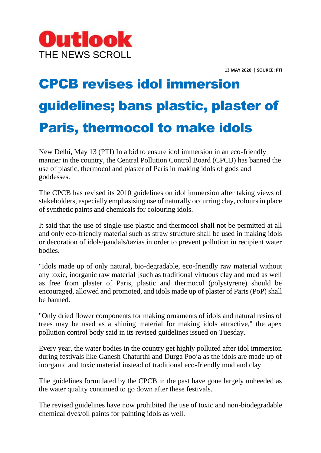

**13 MAY 2020 | SOURCE: PTI**

## CPCB revises idol immersion guidelines; bans plastic, plaster of Paris, thermocol to make idols

New Delhi, May 13 (PTI) In a bid to ensure idol immersion in an eco-friendly manner in the country, the Central Pollution Control Board (CPCB) has banned the use of plastic, thermocol and plaster of Paris in making idols of gods and goddesses.

The CPCB has revised its 2010 guidelines on idol immersion after taking views of stakeholders, especially emphasising use of naturally occurring clay, colours in place of synthetic paints and chemicals for colouring idols.

It said that the use of single-use plastic and thermocol shall not be permitted at all and only eco-friendly material such as straw structure shall be used in making idols or decoration of idols/pandals/tazias in order to prevent pollution in recipient water bodies.

"Idols made up of only natural, bio-degradable, eco-friendly raw material without any toxic, inorganic raw material [such as traditional virtuous clay and mud as well as free from plaster of Paris, plastic and thermocol (polystyrene) should be encouraged, allowed and promoted, and idols made up of plaster of Paris (PoP) shall be banned.

"Only dried flower components for making ornaments of idols and natural resins of trees may be used as a shining material for making idols attractive," the apex pollution control body said in its revised guidelines issued on Tuesday.

Every year, the water bodies in the country get highly polluted after idol immersion during festivals like Ganesh Chaturthi and Durga Pooja as the idols are made up of inorganic and toxic material instead of traditional eco-friendly mud and clay.

The guidelines formulated by the CPCB in the past have gone largely unheeded as the water quality continued to go down after these festivals.

The revised guidelines have now prohibited the use of toxic and non-biodegradable chemical dyes/oil paints for painting idols as well.